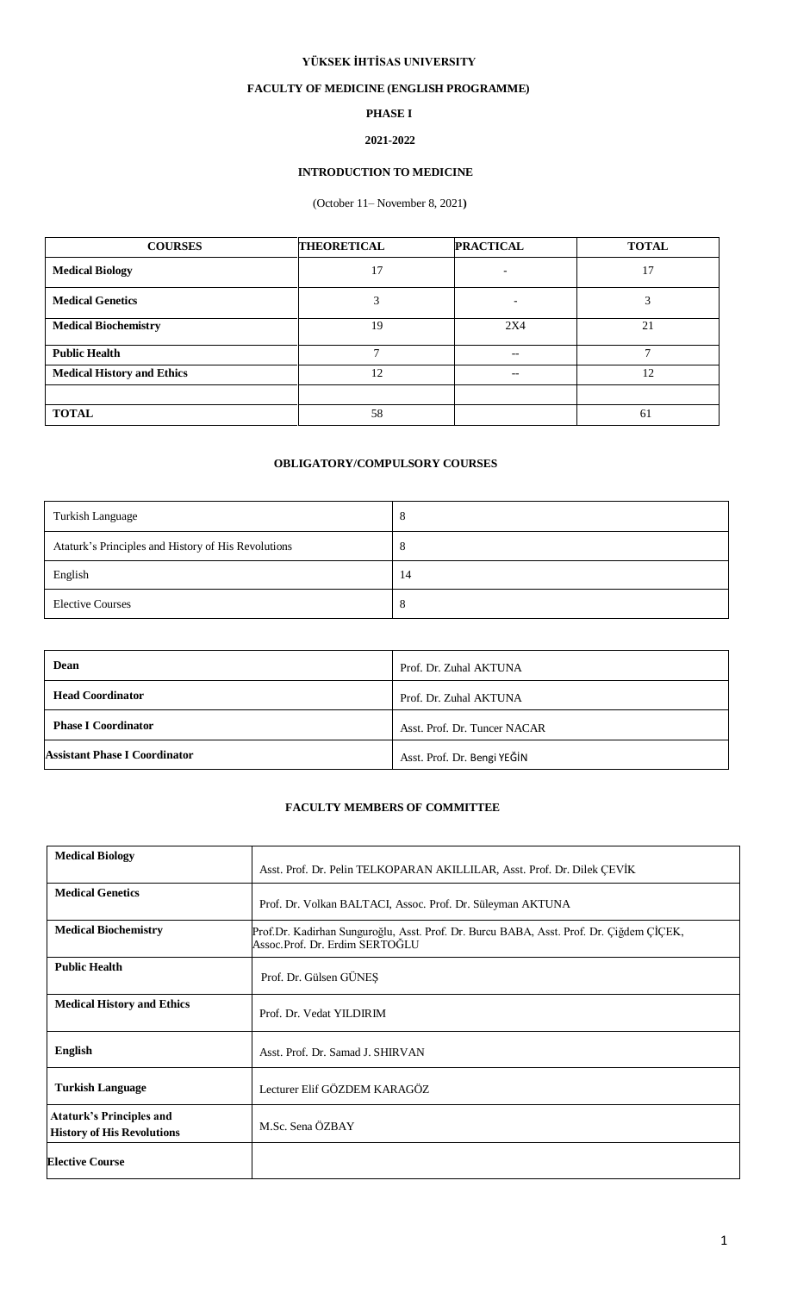### **YÜKSEK İHTİSAS UNIVERSITY**

## **FACULTY OF MEDICINE (ENGLISH PROGRAMME)**

## **PHASE I**

# **2021-2022**

## **INTRODUCTION TO MEDICINE**

# (October 11– November 8, 2021**)**

| <b>COURSES</b>                    | <b>THEORETICAL</b> | <b>PRACTICAL</b>  | <b>TOTAL</b> |
|-----------------------------------|--------------------|-------------------|--------------|
| <b>Medical Biology</b>            | 17                 |                   | 17           |
| <b>Medical Genetics</b>           | 3                  | $\qquad \qquad -$ |              |
| <b>Medical Biochemistry</b>       | 19                 | 2X4               | 21           |
| <b>Public Health</b>              | $\mathbf{r}$       | --                | ⇁            |
| <b>Medical History and Ethics</b> | 12                 | --                | 12           |
|                                   |                    |                   |              |
| <b>TOTAL</b>                      | 58                 |                   | 61           |

### **OBLIGATORY/COMPULSORY COURSES**

| Turkish Language                                    | 8       |
|-----------------------------------------------------|---------|
| Ataturk's Principles and History of His Revolutions | $\circ$ |
| English                                             | 14      |
| <b>Elective Courses</b>                             | Ō       |

| Dean                                 | Prof. Dr. Zuhal AKTUNA       |
|--------------------------------------|------------------------------|
| <b>Head Coordinator</b>              | Prof. Dr. Zuhal AKTUNA       |
| <b>Phase I Coordinator</b>           | Asst. Prof. Dr. Tuncer NACAR |
| <b>Assistant Phase I Coordinator</b> | Asst. Prof. Dr. Bengi YEĞİN  |

#### **FACULTY MEMBERS OF COMMITTEE**

| <b>Medical Biology</b>                                               |                                                                                                                           |
|----------------------------------------------------------------------|---------------------------------------------------------------------------------------------------------------------------|
|                                                                      | Asst. Prof. Dr. Pelin TELKOPARAN AKILLILAR, Asst. Prof. Dr. Dilek CEVIK                                                   |
| <b>Medical Genetics</b>                                              | Prof. Dr. Volkan BALTACI, Assoc. Prof. Dr. Süleyman AKTUNA                                                                |
| <b>Medical Biochemistry</b>                                          | Prof.Dr. Kadirhan Sunguroğlu, Asst. Prof. Dr. Burcu BABA, Asst. Prof. Dr. Çiğdem ÇIÇEK,<br>Assoc.Prof. Dr. Erdim SERTOĞLU |
| <b>Public Health</b>                                                 | Prof. Dr. Gülsen GÜNEŞ                                                                                                    |
| <b>Medical History and Ethics</b>                                    | Prof. Dr. Vedat YILDIRIM                                                                                                  |
| <b>English</b>                                                       | Asst. Prof. Dr. Samad J. SHIRVAN                                                                                          |
| <b>Turkish Language</b>                                              | Lecturer Elif GÖZDEM KARAGÖZ                                                                                              |
| <b>Ataturk's Principles and</b><br><b>History of His Revolutions</b> | M.Sc. Sena ÖZBAY                                                                                                          |
| <b>Elective Course</b>                                               |                                                                                                                           |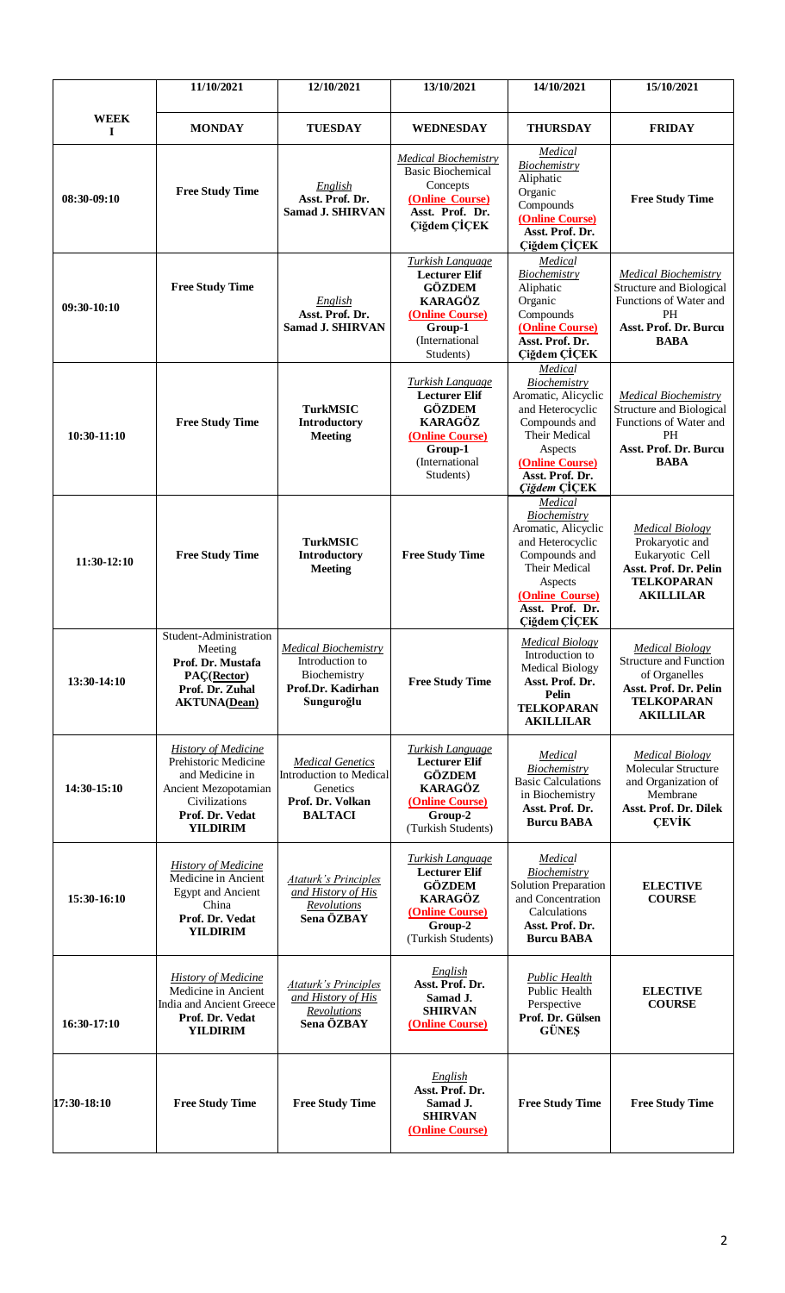|                  | 11/10/2021                                                                                                                                           | 12/10/2021                                                                                           | 13/10/2021                                                                                                                                      | 14/10/2021                                                                                                                                                            | 15/10/2021                                                                                                                                 |
|------------------|------------------------------------------------------------------------------------------------------------------------------------------------------|------------------------------------------------------------------------------------------------------|-------------------------------------------------------------------------------------------------------------------------------------------------|-----------------------------------------------------------------------------------------------------------------------------------------------------------------------|--------------------------------------------------------------------------------------------------------------------------------------------|
| <b>WEEK</b><br>I | <b>MONDAY</b>                                                                                                                                        | <b>TUESDAY</b>                                                                                       | <b>WEDNESDAY</b>                                                                                                                                | <b>THURSDAY</b>                                                                                                                                                       | <b>FRIDAY</b>                                                                                                                              |
| 08:30-09:10      | <b>Free Study Time</b>                                                                                                                               | English<br>Asst. Prof. Dr.<br><b>Samad J. SHIRVAN</b>                                                | <b>Medical Biochemistry</b><br><b>Basic Biochemical</b><br>Concepts<br>(Online Course)<br>Asst. Prof. Dr.<br>Çiğdem ÇİÇEK                       | Medical<br>Biochemistry<br>Aliphatic<br>Organic<br>Compounds<br>(Online Course)<br>Asst. Prof. Dr.<br>Ciğdem ÇİÇEK                                                    | <b>Free Study Time</b>                                                                                                                     |
| 09:30-10:10      | <b>Free Study Time</b>                                                                                                                               | English<br>Asst. Prof. Dr.<br><b>Samad J. SHIRVAN</b>                                                | Turkish Language<br><b>Lecturer Elif</b><br><b>GÖZDEM</b><br><b>KARAGÖZ</b><br>(Online Course)<br>Group-1<br>(International<br>Students)        | Medical<br>Biochemistry<br>Aliphatic<br>Organic<br>Compounds<br>(Online Course)<br>Asst. Prof. Dr.<br>Çiğdem ÇİÇEK                                                    | <b>Medical Biochemistry</b><br><b>Structure and Biological</b><br>Functions of Water and<br>PH<br>Asst. Prof. Dr. Burcu<br><b>BABA</b>     |
| $10:30-11:10$    | <b>Free Study Time</b>                                                                                                                               | <b>TurkMSIC</b><br><b>Introductory</b><br><b>Meeting</b>                                             | <b>Turkish Language</b><br><b>Lecturer Elif</b><br><b>GÖZDEM</b><br><b>KARAGÖZ</b><br>(Online Course)<br>Group-1<br>(International<br>Students) | Medical<br>Biochemistry<br>Aromatic, Alicyclic<br>and Heterocyclic<br>Compounds and<br>Their Medical<br>Aspects<br>(Online Course)<br>Asst. Prof. Dr.<br>Çiğdem ÇİÇEK | <b>Medical Biochemistry</b><br><b>Structure and Biological</b><br>Functions of Water and<br>PH<br>Asst. Prof. Dr. Burcu<br><b>BABA</b>     |
| $11:30-12:10$    | <b>Free Study Time</b>                                                                                                                               | <b>TurkMSIC</b><br><b>Introductory</b><br><b>Meeting</b>                                             | <b>Free Study Time</b>                                                                                                                          | Medical<br>Biochemistry<br>Aromatic, Alicyclic<br>and Heterocyclic<br>Compounds and<br>Their Medical<br>Aspects<br>(Online Course)<br>Asst. Prof. Dr.<br>Çiğdem ÇİÇEK | <b>Medical Biology</b><br>Prokaryotic and<br>Eukaryotic Cell<br>Asst. Prof. Dr. Pelin<br><b>TELKOPARAN</b><br><b>AKILLILAR</b>             |
| 13:30-14:10      | Student-Administration<br>Meeting<br>Prof. Dr. Mustafa<br>PAC(Rector)<br>Prof. Dr. Zuhal<br><b>AKTUNA(Dean)</b>                                      | <b>Medical Biochemistry</b><br>Introduction to<br>Biochemistry<br>Prof.Dr. Kadirhan<br>Sunguroğlu    | <b>Free Study Time</b>                                                                                                                          | <b>Medical Biology</b><br>Introduction to<br><b>Medical Biology</b><br>Asst. Prof. Dr.<br>Pelin<br><b>TELKOPARAN</b><br><b>AKILLILAR</b>                              | <b>Medical Biology</b><br><b>Structure and Function</b><br>of Organelles<br>Asst. Prof. Dr. Pelin<br><b>TELKOPARAN</b><br><b>AKILLILAR</b> |
| 14:30-15:10      | <b>History of Medicine</b><br>Prehistoric Medicine<br>and Medicine in<br>Ancient Mezopotamian<br>Civilizations<br>Prof. Dr. Vedat<br><b>YILDIRIM</b> | <b>Medical Genetics</b><br>Introduction to Medical<br>Genetics<br>Prof. Dr. Volkan<br><b>BALTACI</b> | <b>Turkish Language</b><br><b>Lecturer Elif</b><br><b>GÖZDEM</b><br><b>KARAGÖZ</b><br>(Online Course)<br>Group-2<br>(Turkish Students)          | Medical<br>Biochemistry<br><b>Basic Calculations</b><br>in Biochemistry<br>Asst. Prof. Dr.<br><b>Burcu BABA</b>                                                       | <b>Medical Biology</b><br>Molecular Structure<br>and Organization of<br>Membrane<br>Asst. Prof. Dr. Dilek<br><b>CEVIK</b>                  |
| 15:30-16:10      | <b>History of Medicine</b><br>Medicine in Ancient<br><b>Egypt and Ancient</b><br>China<br>Prof. Dr. Vedat<br><b>YILDIRIM</b>                         | <b>Ataturk's Principles</b><br>and History of His<br>Revolutions<br>Sena ÖZBAY                       | <b>Turkish Language</b><br><b>Lecturer Elif</b><br><b>GÖZDEM</b><br><b>KARAGÖZ</b><br>(Online Course)<br>Group-2<br>(Turkish Students)          | Medical<br>Biochemistry<br><b>Solution Preparation</b><br>and Concentration<br>Calculations<br>Asst. Prof. Dr.<br><b>Burcu BABA</b>                                   | <b>ELECTIVE</b><br><b>COURSE</b>                                                                                                           |
| 16:30-17:10      | <b>History of Medicine</b><br>Medicine in Ancient<br>India and Ancient Greece<br>Prof. Dr. Vedat<br><b>YILDIRIM</b>                                  | <b>Ataturk's Principles</b><br>and History of His<br>Revolutions<br>Sena ÖZBAY                       | English<br>Asst. Prof. Dr.<br>Samad J.<br><b>SHIRVAN</b><br>(Online Course)                                                                     | <b>Public Health</b><br>Public Health<br>Perspective<br>Prof. Dr. Gülsen<br><b>GÜNES</b>                                                                              | <b>ELECTIVE</b><br><b>COURSE</b>                                                                                                           |
| 17:30-18:10      | <b>Free Study Time</b>                                                                                                                               | <b>Free Study Time</b>                                                                               | English<br>Asst. Prof. Dr.<br>Samad J.<br><b>SHIRVAN</b><br>(Online Course)                                                                     | <b>Free Study Time</b>                                                                                                                                                | <b>Free Study Time</b>                                                                                                                     |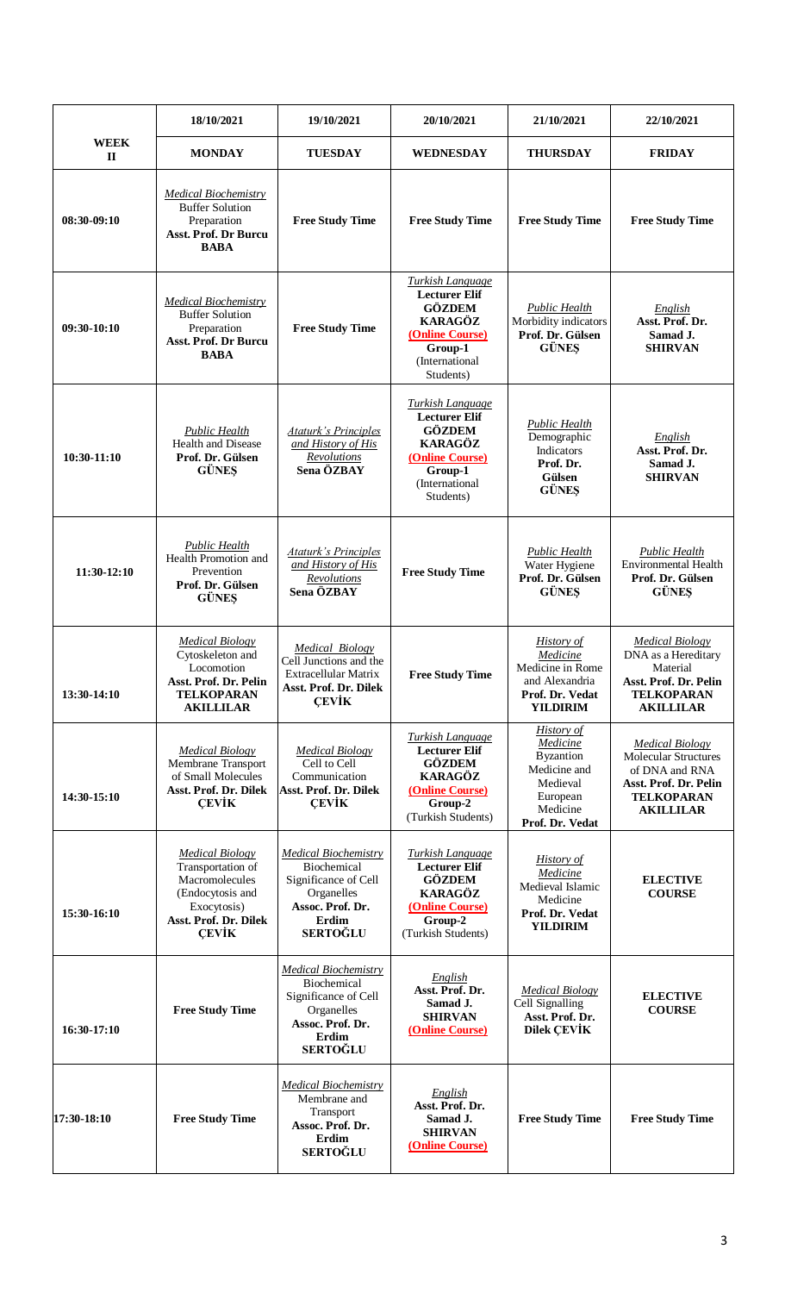|                             | 18/10/2021                                                                                                                                | 19/10/2021                                                                                                                       | 20/10/2021                                                                                                                                      | 21/10/2021                                                                                                               | 22/10/2021                                                                                                                                |
|-----------------------------|-------------------------------------------------------------------------------------------------------------------------------------------|----------------------------------------------------------------------------------------------------------------------------------|-------------------------------------------------------------------------------------------------------------------------------------------------|--------------------------------------------------------------------------------------------------------------------------|-------------------------------------------------------------------------------------------------------------------------------------------|
| <b>WEEK</b><br>$\mathbf{I}$ | <b>MONDAY</b>                                                                                                                             | <b>TUESDAY</b>                                                                                                                   | <b>WEDNESDAY</b>                                                                                                                                | <b>THURSDAY</b>                                                                                                          | <b>FRIDAY</b>                                                                                                                             |
| 08:30-09:10                 | <b>Medical Biochemistry</b><br><b>Buffer Solution</b><br>Preparation<br><b>Asst. Prof. Dr Burcu</b><br><b>BABA</b>                        | <b>Free Study Time</b>                                                                                                           | <b>Free Study Time</b>                                                                                                                          | <b>Free Study Time</b>                                                                                                   | <b>Free Study Time</b>                                                                                                                    |
| $09:30-10:10$               | <b>Medical Biochemistry</b><br><b>Buffer Solution</b><br>Preparation<br>Asst. Prof. Dr Burcu<br><b>BABA</b>                               | <b>Free Study Time</b>                                                                                                           | <b>Turkish Language</b><br><b>Lecturer Elif</b><br><b>GÖZDEM</b><br><b>KARAGÖZ</b><br>(Online Course)<br>Group-1<br>(International<br>Students) | Public Health<br>Morbidity indicators<br>Prof. Dr. Gülsen<br><b>GÜNEŞ</b>                                                | English<br>Asst. Prof. Dr.<br>Samad J.<br><b>SHIRVAN</b>                                                                                  |
| $10:30-11:10$               | Public Health<br><b>Health and Disease</b><br>Prof. Dr. Gülsen<br><b>GÜNES</b>                                                            | <b>Ataturk's Principles</b><br>and History of His<br>Revolutions<br>Sena ÖZBAY                                                   | <b>Turkish Language</b><br><b>Lecturer Elif</b><br><b>GÖZDEM</b><br><b>KARAGÖZ</b><br>(Online Course)<br>Group-1<br>(International<br>Students) | <b>Public Health</b><br>Demographic<br>Indicators<br>Prof. Dr.<br><b>Gülsen</b><br><b>GÜNES</b>                          | English<br>Asst. Prof. Dr.<br>Samad J.<br><b>SHIRVAN</b>                                                                                  |
| 11:30-12:10                 | <b>Public Health</b><br>Health Promotion and<br>Prevention<br>Prof. Dr. Gülsen<br><b>GÜNES</b>                                            | <b>Ataturk's Principles</b><br>and History of His<br>Revolutions<br>Sena ÖZBAY                                                   | <b>Free Study Time</b>                                                                                                                          | Public Health<br>Water Hygiene<br>Prof. Dr. Gülsen<br><b>GÜNES</b>                                                       | <b>Public Health</b><br><b>Environmental Health</b><br>Prof. Dr. Gülsen<br><b>GÜNES</b>                                                   |
| 13:30-14:10                 | <b>Medical Biology</b><br>Cytoskeleton and<br>Locomotion<br>Asst. Prof. Dr. Pelin<br><b>TELKOPARAN</b><br><b>AKILLILAR</b>                | <b>Medical Biology</b><br>Cell Junctions and the<br>Extracellular Matrix<br>Asst. Prof. Dr. Dilek<br><b>CEVIK</b>                | <b>Free Study Time</b>                                                                                                                          | <b>History of</b><br>Medicine<br>Medicine in Rome<br>and Alexandria<br>Prof. Dr. Vedat<br><b>YILDIRIM</b>                | <b>Medical Biology</b><br>DNA as a Hereditary<br>Material<br>Asst. Prof. Dr. Pelin<br><b>TELKOPARAN</b><br><b>AKILLILAR</b>               |
| 14:30-15:10                 | <b>Medical Biology</b><br>Membrane Transport<br>of Small Molecules<br>Asst. Prof. Dr. Dilek<br><b>CEVIK</b>                               | <b>Medical Biology</b><br>Cell to Cell<br>Communication<br>Asst. Prof. Dr. Dilek<br><b>CEVIK</b>                                 | <b>Turkish Language</b><br><b>Lecturer Elif</b><br><b>GÖZDEM</b><br><b>KARAGÖZ</b><br>(Online Course)<br>Group-2<br>(Turkish Students)          | <b>History of</b><br>Medicine<br><b>Byzantion</b><br>Medicine and<br>Medieval<br>European<br>Medicine<br>Prof. Dr. Vedat | <b>Medical Biology</b><br><b>Molecular Structures</b><br>of DNA and RNA<br>Asst. Prof. Dr. Pelin<br><b>TELKOPARAN</b><br><b>AKILLILAR</b> |
| 15:30-16:10                 | <b>Medical Biology</b><br>Transportation of<br>Macromolecules<br>(Endocytosis and<br>Exocytosis)<br>Asst. Prof. Dr. Dilek<br><b>CEVIK</b> | <b>Medical Biochemistry</b><br>Biochemical<br>Significance of Cell<br>Organelles<br>Assoc. Prof. Dr.<br>Erdim<br><b>SERTOĞLU</b> | <u>Turkish Language</u><br><b>Lecturer Elif</b><br><b>GÖZDEM</b><br><b>KARAGÖZ</b><br>(Online Course)<br>Group-2<br>(Turkish Students)          | <b>History</b> of<br>Medicine<br>Medieval Islamic<br>Medicine<br>Prof. Dr. Vedat<br><b>YILDIRIM</b>                      | <b>ELECTIVE</b><br><b>COURSE</b>                                                                                                          |
| 16:30-17:10                 | <b>Free Study Time</b>                                                                                                                    | <b>Medical Biochemistry</b><br>Biochemical<br>Significance of Cell<br>Organelles<br>Assoc. Prof. Dr.<br>Erdim<br><b>SERTOĞLU</b> | English<br>Asst. Prof. Dr.<br>Samad J.<br><b>SHIRVAN</b><br>(Online Course)                                                                     | <b>Medical Biology</b><br>Cell Signalling<br>Asst. Prof. Dr.<br><b>Dilek ÇEVİK</b>                                       | <b>ELECTIVE</b><br><b>COURSE</b>                                                                                                          |
| 17:30-18:10                 | <b>Free Study Time</b>                                                                                                                    | <b>Medical Biochemistry</b><br>Membrane and<br>Transport<br>Assoc. Prof. Dr.<br>Erdim<br><b>SERTOĞLU</b>                         | English<br>Asst. Prof. Dr.<br>Samad J.<br><b>SHIRVAN</b><br>(Online Course)                                                                     | <b>Free Study Time</b>                                                                                                   | <b>Free Study Time</b>                                                                                                                    |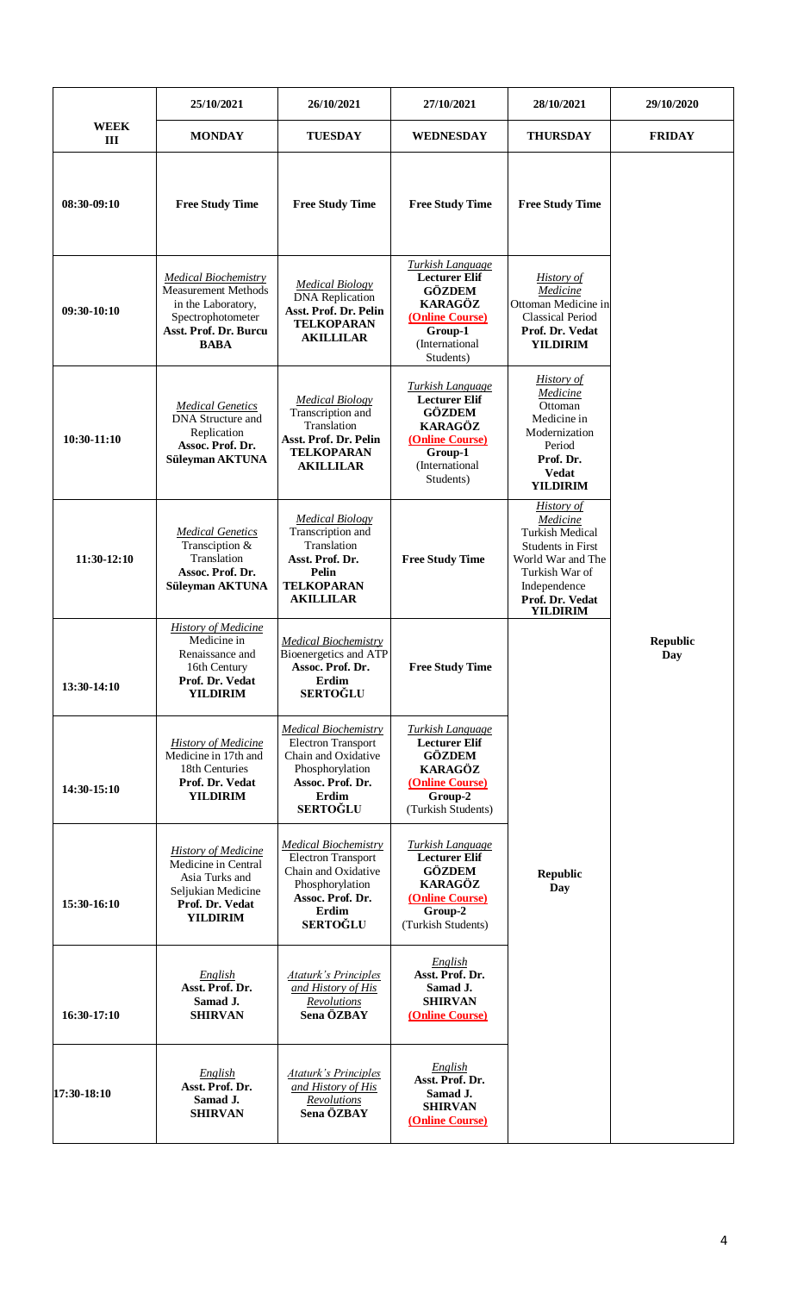|                    | 25/10/2021                                                                                                                                   | 26/10/2021                                                                                                                                         | 27/10/2021                                                                                                                                      | 28/10/2021                                                                                                                                                                       | 29/10/2020             |
|--------------------|----------------------------------------------------------------------------------------------------------------------------------------------|----------------------------------------------------------------------------------------------------------------------------------------------------|-------------------------------------------------------------------------------------------------------------------------------------------------|----------------------------------------------------------------------------------------------------------------------------------------------------------------------------------|------------------------|
| <b>WEEK</b><br>III | <b>MONDAY</b>                                                                                                                                | <b>TUESDAY</b>                                                                                                                                     | <b>WEDNESDAY</b>                                                                                                                                | <b>THURSDAY</b>                                                                                                                                                                  | <b>FRIDAY</b>          |
| 08:30-09:10        | <b>Free Study Time</b>                                                                                                                       | <b>Free Study Time</b>                                                                                                                             | <b>Free Study Time</b>                                                                                                                          | <b>Free Study Time</b>                                                                                                                                                           |                        |
| $09:30-10:10$      | <b>Medical Biochemistry</b><br><b>Measurement Methods</b><br>in the Laboratory,<br>Spectrophotometer<br>Asst. Prof. Dr. Burcu<br><b>BABA</b> | <b>Medical Biology</b><br><b>DNA</b> Replication<br>Asst. Prof. Dr. Pelin<br><b>TELKOPARAN</b><br><b>AKILLILAR</b>                                 | <b>Turkish Language</b><br><b>Lecturer Elif</b><br><b>GÖZDEM</b><br><b>KARAGÖZ</b><br>(Online Course)<br>Group-1<br>(International<br>Students) | <b>History of</b><br>Medicine<br>Ottoman Medicine in<br><b>Classical Period</b><br>Prof. Dr. Vedat<br><b>YILDIRIM</b>                                                            |                        |
| $10:30-11:10$      | <b>Medical Genetics</b><br>DNA Structure and<br>Replication<br>Assoc. Prof. Dr.<br>Süleyman AKTUNA                                           | <b>Medical Biology</b><br>Transcription and<br>Translation<br>Asst. Prof. Dr. Pelin<br><b>TELKOPARAN</b><br><b>AKILLILAR</b>                       | <b>Turkish Language</b><br><b>Lecturer Elif</b><br><b>GÖZDEM</b><br>KARAGÖZ<br>(Online Course)<br>Group-1<br>(International<br>Students)        | <b>History of</b><br>Medicine<br>Ottoman<br>Medicine in<br>Modernization<br>Period<br>Prof. Dr.<br><b>Vedat</b><br><b>YILDIRIM</b>                                               |                        |
| $11:30-12:10$      | <b>Medical Genetics</b><br>Transciption &<br>Translation<br>Assoc. Prof. Dr.<br>Süleyman AKTUNA                                              | <b>Medical Biology</b><br>Transcription and<br>Translation<br>Asst. Prof. Dr.<br>Pelin<br><b>TELKOPARAN</b><br><b>AKILLILAR</b>                    | <b>Free Study Time</b>                                                                                                                          | <b>History of</b><br>Medicine<br><b>Turkish Medical</b><br><b>Students in First</b><br>World War and The<br>Turkish War of<br>Independence<br>Prof. Dr. Vedat<br><b>YILDIRIM</b> |                        |
| 13:30-14:10        | <b>History of Medicine</b><br>Medicine in<br>Renaissance and<br>16th Century<br>Prof. Dr. Vedat<br><b>YILDIRIM</b>                           | <b>Medical Biochemistry</b><br>Bioenergetics and ATP<br>Assoc. Prof. Dr.<br>Erdim<br><b>SERTOĞLU</b>                                               | <b>Free Study Time</b>                                                                                                                          |                                                                                                                                                                                  | <b>Republic</b><br>Day |
| 14:30-15:10        | <b>History of Medicine</b><br>Medicine in 17th and<br>18th Centuries<br>Prof. Dr. Vedat<br><b>YILDIRIM</b>                                   | <b>Medical Biochemistry</b><br><b>Electron Transport</b><br>Chain and Oxidative<br>Phosphorylation<br>Assoc. Prof. Dr.<br>Erdim<br><b>SERTOĞLU</b> | <b>Turkish Language</b><br><b>Lecturer Elif</b><br><b>GÖZDEM</b><br><b>KARAGÖZ</b><br>(Online Course)<br>Group-2<br>(Turkish Students)          |                                                                                                                                                                                  |                        |
| 15:30-16:10        | <b>History of Medicine</b><br>Medicine in Central<br>Asia Turks and<br>Seljukian Medicine<br>Prof. Dr. Vedat<br><b>YILDIRIM</b>              | <b>Medical Biochemistry</b><br><b>Electron Transport</b><br>Chain and Oxidative<br>Phosphorylation<br>Assoc. Prof. Dr.<br>Erdim<br><b>SERTOĞLU</b> | <b>Turkish Language</b><br><b>Lecturer Elif</b><br><b>GÖZDEM</b><br><b>KARAGÖZ</b><br>(Online Course)<br>Group-2<br>(Turkish Students)          | <b>Republic</b><br>Day                                                                                                                                                           |                        |
| 16:30-17:10        | English<br>Asst. Prof. Dr.<br>Samad J.<br><b>SHIRVAN</b>                                                                                     | <b>Ataturk's Principles</b><br>and History of His<br>Revolutions<br>Sena ÖZBAY                                                                     | English<br>Asst. Prof. Dr.<br>Samad J.<br><b>SHIRVAN</b><br>(Online Course)                                                                     |                                                                                                                                                                                  |                        |
| 17:30-18:10        | English<br>Asst. Prof. Dr.<br>Samad J.<br><b>SHIRVAN</b>                                                                                     | <b>Ataturk's Principles</b><br>and History of His<br>Revolutions<br>Sena ÖZBAY                                                                     | English<br>Asst. Prof. Dr.<br>Samad J.<br><b>SHIRVAN</b><br>(Online Course)                                                                     |                                                                                                                                                                                  |                        |